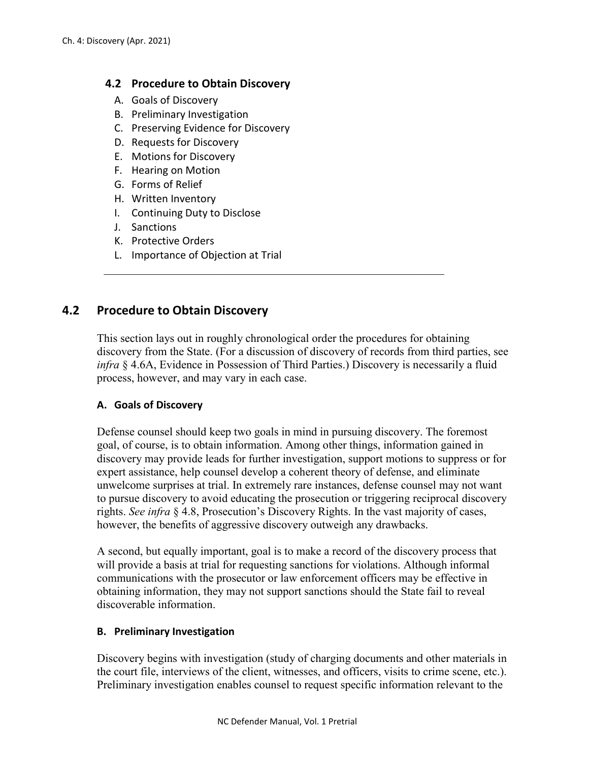### **4.2 Procedure to Obtain Discovery**

- A. Goals of Discovery
- B. Preliminary Investigation
- C. Preserving Evidence for Discovery
- D. Requests for Discovery
- E. Motions for Discovery
- F. Hearing on Motion
- G. Forms of Relief
- H. Written Inventory
- I. Continuing Duty to Disclose
- J. Sanctions
- K. Protective Orders
- L. Importance of Objection at Trial

# **4.2 Procedure to Obtain Discovery**

This section lays out in roughly chronological order the procedures for obtaining discovery from the State. (For a discussion of discovery of records from third parties, see *infra* § 4.6A, Evidence in Possession of Third Parties.) Discovery is necessarily a fluid process, however, and may vary in each case.

# **A. Goals of Discovery**

Defense counsel should keep two goals in mind in pursuing discovery. The foremost goal, of course, is to obtain information. Among other things, information gained in discovery may provide leads for further investigation, support motions to suppress or for expert assistance, help counsel develop a coherent theory of defense, and eliminate unwelcome surprises at trial. In extremely rare instances, defense counsel may not want to pursue discovery to avoid educating the prosecution or triggering reciprocal discovery rights. *See infra* § 4.8, Prosecution's Discovery Rights. In the vast majority of cases, however, the benefits of aggressive discovery outweigh any drawbacks.

A second, but equally important, goal is to make a record of the discovery process that will provide a basis at trial for requesting sanctions for violations. Although informal communications with the prosecutor or law enforcement officers may be effective in obtaining information, they may not support sanctions should the State fail to reveal discoverable information.

#### **B. Preliminary Investigation**

Discovery begins with investigation (study of charging documents and other materials in the court file, interviews of the client, witnesses, and officers, visits to crime scene, etc.). Preliminary investigation enables counsel to request specific information relevant to the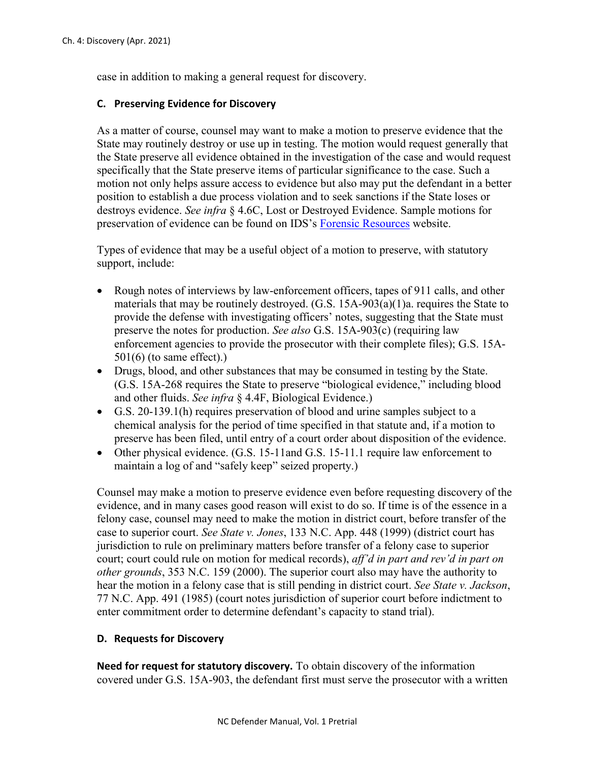case in addition to making a general request for discovery.

#### **C. Preserving Evidence for Discovery**

As a matter of course, counsel may want to make a motion to preserve evidence that the State may routinely destroy or use up in testing. The motion would request generally that the State preserve all evidence obtained in the investigation of the case and would request specifically that the State preserve items of particular significance to the case. Such a motion not only helps assure access to evidence but also may put the defendant in a better position to establish a due process violation and to seek sanctions if the State loses or destroys evidence. *See infra* § 4.6C, Lost or Destroyed Evidence. Sample motions for preservation of evidence can be found on IDS's [Forensic Resources](https://forensicresources.org/view-resources/motions-and-briefs/motions-to-preserve-evidence/) website.

Types of evidence that may be a useful object of a motion to preserve, with statutory support, include:

- Rough notes of interviews by law-enforcement officers, tapes of 911 calls, and other materials that may be routinely destroyed. (G.S. 15A-903(a)(1)a. requires the State to provide the defense with investigating officers' notes, suggesting that the State must preserve the notes for production. *See also* G.S. 15A-903(c) (requiring law enforcement agencies to provide the prosecutor with their complete files); G.S. 15A-501(6) (to same effect).)
- Drugs, blood, and other substances that may be consumed in testing by the State. (G.S. 15A-268 requires the State to preserve "biological evidence," including blood and other fluids. *See infra* § 4.4F, Biological Evidence.)
- G.S. 20-139.1(h) requires preservation of blood and urine samples subject to a chemical analysis for the period of time specified in that statute and, if a motion to preserve has been filed, until entry of a court order about disposition of the evidence.
- Other physical evidence. (G.S. 15-11and G.S. 15-11.1 require law enforcement to maintain a log of and "safely keep" seized property.)

Counsel may make a motion to preserve evidence even before requesting discovery of the evidence, and in many cases good reason will exist to do so. If time is of the essence in a felony case, counsel may need to make the motion in district court, before transfer of the case to superior court. *See State v. Jones*, 133 N.C. App. 448 (1999) (district court has jurisdiction to rule on preliminary matters before transfer of a felony case to superior court; court could rule on motion for medical records), *aff'd in part and rev'd in part on other grounds*, 353 N.C. 159 (2000). The superior court also may have the authority to hear the motion in a felony case that is still pending in district court. *See State v. Jackson*, 77 N.C. App. 491 (1985) (court notes jurisdiction of superior court before indictment to enter commitment order to determine defendant's capacity to stand trial).

#### **D. Requests for Discovery**

**Need for request for statutory discovery.** To obtain discovery of the information covered under G.S. 15A-903, the defendant first must serve the prosecutor with a written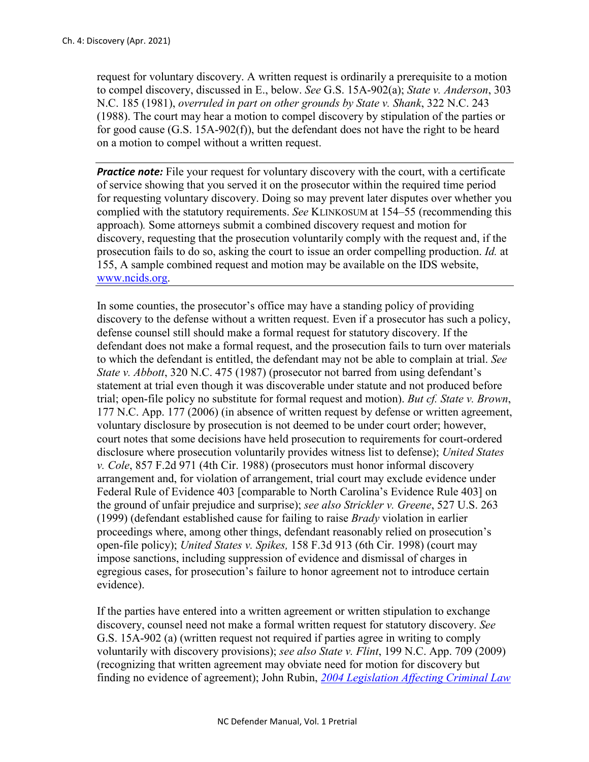request for voluntary discovery. A written request is ordinarily a prerequisite to a motion to compel discovery, discussed in E., below. *See* G.S. 15A-902(a); *State v. Anderson*, 303 N.C. 185 (1981), *overruled in part on other grounds by State v. Shank*, 322 N.C. 243 (1988). The court may hear a motion to compel discovery by stipulation of the parties or for good cause (G.S. 15A-902(f)), but the defendant does not have the right to be heard on a motion to compel without a written request.

**Practice note:** File your request for voluntary discovery with the court, with a certificate of service showing that you served it on the prosecutor within the required time period for requesting voluntary discovery. Doing so may prevent later disputes over whether you complied with the statutory requirements. *See* KLINKOSUM at 154–55 (recommending this approach)*.* Some attorneys submit a combined discovery request and motion for discovery, requesting that the prosecution voluntarily comply with the request and, if the prosecution fails to do so, asking the court to issue an order compelling production. *Id.* at 155, A sample combined request and motion may be available on the IDS website, [www.ncids.org.](http://www.ncids.org/)

In some counties, the prosecutor's office may have a standing policy of providing discovery to the defense without a written request. Even if a prosecutor has such a policy, defense counsel still should make a formal request for statutory discovery. If the defendant does not make a formal request, and the prosecution fails to turn over materials to which the defendant is entitled, the defendant may not be able to complain at trial. *See State v. Abbott*, 320 N.C. 475 (1987) (prosecutor not barred from using defendant's statement at trial even though it was discoverable under statute and not produced before trial; open-file policy no substitute for formal request and motion). *But cf. State v. Brown*, 177 N.C. App. 177 (2006) (in absence of written request by defense or written agreement, voluntary disclosure by prosecution is not deemed to be under court order; however, court notes that some decisions have held prosecution to requirements for court-ordered disclosure where prosecution voluntarily provides witness list to defense); *United States v. Cole*, 857 F.2d 971 (4th Cir. 1988) (prosecutors must honor informal discovery arrangement and, for violation of arrangement, trial court may exclude evidence under Federal Rule of Evidence 403 [comparable to North Carolina's Evidence Rule 403] on the ground of unfair prejudice and surprise); *see also Strickler v. Greene*, 527 U.S. 263 (1999) (defendant established cause for failing to raise *Brady* violation in earlier proceedings where, among other things, defendant reasonably relied on prosecution's open-file policy); *United States v. Spikes,* 158 F.3d 913 (6th Cir. 1998) (court may impose sanctions, including suppression of evidence and dismissal of charges in egregious cases, for prosecution's failure to honor agreement not to introduce certain evidence).

If the parties have entered into a written agreement or written stipulation to exchange discovery, counsel need not make a formal written request for statutory discovery. *See*  G.S. 15A-902 (a) (written request not required if parties agree in writing to comply voluntarily with discovery provisions); *see also State v. Flint*, 199 N.C. App. 709 (2009) (recognizing that written agreement may obviate need for motion for discovery but finding no evidence of agreement); John Rubin, *[2004 Legislation Affecting Criminal Law](https://www.sog.unc.edu/sites/www.sog.unc.edu/files/reports/aoj200406.pdf)*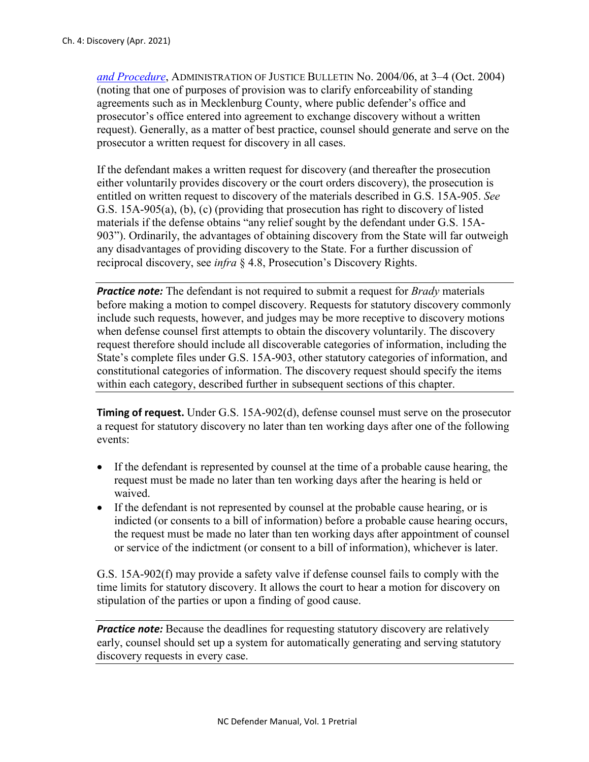*[and Procedure](https://www.sog.unc.edu/sites/www.sog.unc.edu/files/reports/aoj200406.pdf)*, ADMINISTRATION OF JUSTICE BULLETIN No. 2004/06, at 3–4 (Oct. 2004) (noting that one of purposes of provision was to clarify enforceability of standing agreements such as in Mecklenburg County, where public defender's office and prosecutor's office entered into agreement to exchange discovery without a written request). Generally, as a matter of best practice, counsel should generate and serve on the prosecutor a written request for discovery in all cases.

If the defendant makes a written request for discovery (and thereafter the prosecution either voluntarily provides discovery or the court orders discovery), the prosecution is entitled on written request to discovery of the materials described in G.S. 15A-905. *See*  G.S. 15A-905(a), (b), (c) (providing that prosecution has right to discovery of listed materials if the defense obtains "any relief sought by the defendant under G.S. 15A-903"). Ordinarily, the advantages of obtaining discovery from the State will far outweigh any disadvantages of providing discovery to the State. For a further discussion of reciprocal discovery, see *infra* § 4.8, Prosecution's Discovery Rights.

*Practice note:* The defendant is not required to submit a request for *Brady* materials before making a motion to compel discovery. Requests for statutory discovery commonly include such requests, however, and judges may be more receptive to discovery motions when defense counsel first attempts to obtain the discovery voluntarily. The discovery request therefore should include all discoverable categories of information, including the State's complete files under G.S. 15A-903, other statutory categories of information, and constitutional categories of information. The discovery request should specify the items within each category, described further in subsequent sections of this chapter.

**Timing of request.** Under G.S. 15A-902(d), defense counsel must serve on the prosecutor a request for statutory discovery no later than ten working days after one of the following events:

- If the defendant is represented by counsel at the time of a probable cause hearing, the request must be made no later than ten working days after the hearing is held or waived.
- If the defendant is not represented by counsel at the probable cause hearing, or is indicted (or consents to a bill of information) before a probable cause hearing occurs, the request must be made no later than ten working days after appointment of counsel or service of the indictment (or consent to a bill of information), whichever is later.

G.S. 15A-902(f) may provide a safety valve if defense counsel fails to comply with the time limits for statutory discovery. It allows the court to hear a motion for discovery on stipulation of the parties or upon a finding of good cause.

**Practice note:** Because the deadlines for requesting statutory discovery are relatively early, counsel should set up a system for automatically generating and serving statutory discovery requests in every case.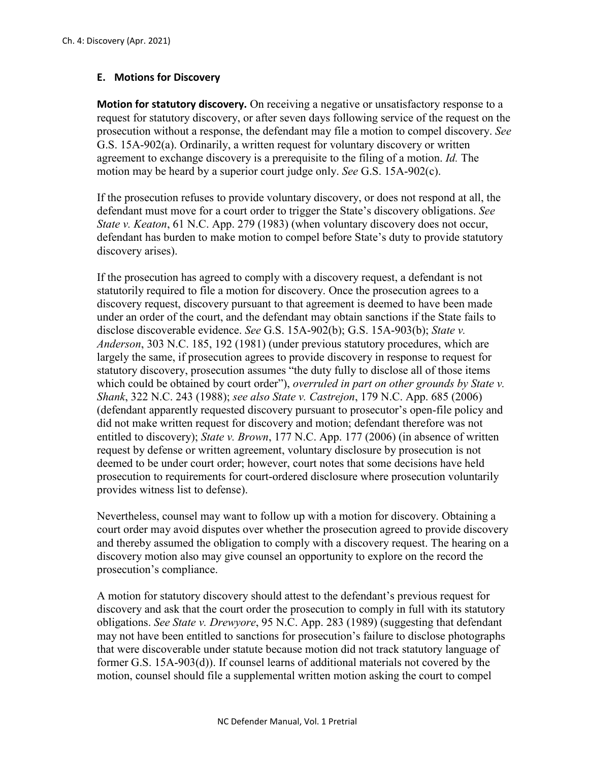## **E. Motions for Discovery**

**Motion for statutory discovery.** On receiving a negative or unsatisfactory response to a request for statutory discovery, or after seven days following service of the request on the prosecution without a response, the defendant may file a motion to compel discovery. *See*  G.S. 15A-902(a). Ordinarily, a written request for voluntary discovery or written agreement to exchange discovery is a prerequisite to the filing of a motion. *Id.* The motion may be heard by a superior court judge only. *See* G.S. 15A-902(c).

If the prosecution refuses to provide voluntary discovery, or does not respond at all, the defendant must move for a court order to trigger the State's discovery obligations. *See State v. Keaton*, 61 N.C. App. 279 (1983) (when voluntary discovery does not occur, defendant has burden to make motion to compel before State's duty to provide statutory discovery arises).

If the prosecution has agreed to comply with a discovery request, a defendant is not statutorily required to file a motion for discovery. Once the prosecution agrees to a discovery request, discovery pursuant to that agreement is deemed to have been made under an order of the court, and the defendant may obtain sanctions if the State fails to disclose discoverable evidence. *See* G.S. 15A-902(b); G.S. 15A-903(b); *State v. Anderson*, 303 N.C. 185, 192 (1981) (under previous statutory procedures, which are largely the same, if prosecution agrees to provide discovery in response to request for statutory discovery, prosecution assumes "the duty fully to disclose all of those items which could be obtained by court order"), *overruled in part on other grounds by State v*. *Shank*, 322 N.C. 243 (1988); *see also State v. Castrejon*, 179 N.C. App. 685 (2006) (defendant apparently requested discovery pursuant to prosecutor's open-file policy and did not make written request for discovery and motion; defendant therefore was not entitled to discovery); *State v. Brown*, 177 N.C. App. 177 (2006) (in absence of written request by defense or written agreement, voluntary disclosure by prosecution is not deemed to be under court order; however, court notes that some decisions have held prosecution to requirements for court-ordered disclosure where prosecution voluntarily provides witness list to defense).

Nevertheless, counsel may want to follow up with a motion for discovery. Obtaining a court order may avoid disputes over whether the prosecution agreed to provide discovery and thereby assumed the obligation to comply with a discovery request. The hearing on a discovery motion also may give counsel an opportunity to explore on the record the prosecution's compliance.

A motion for statutory discovery should attest to the defendant's previous request for discovery and ask that the court order the prosecution to comply in full with its statutory obligations. *See State v. Drewyore*, 95 N.C. App. 283 (1989) (suggesting that defendant may not have been entitled to sanctions for prosecution's failure to disclose photographs that were discoverable under statute because motion did not track statutory language of former G.S. 15A-903(d)). If counsel learns of additional materials not covered by the motion, counsel should file a supplemental written motion asking the court to compel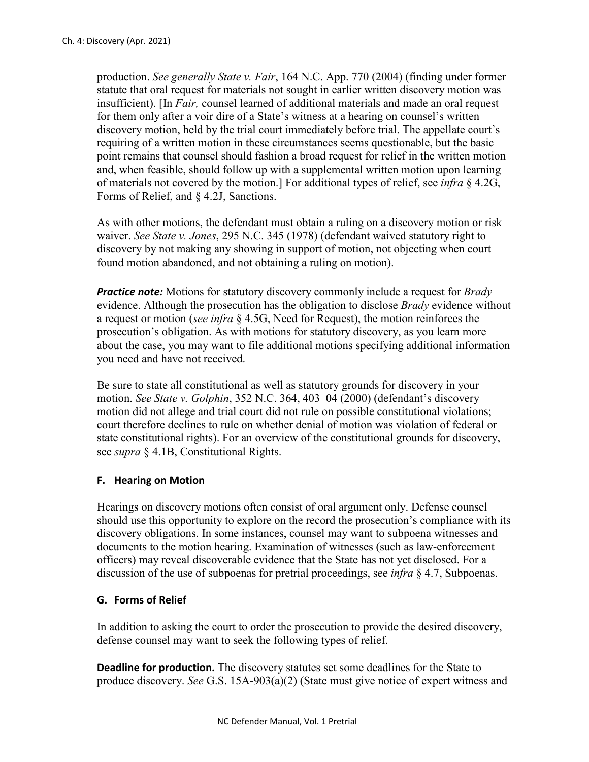production. *See generally State v. Fair*, 164 N.C. App. 770 (2004) (finding under former statute that oral request for materials not sought in earlier written discovery motion was insufficient). [In *Fair,* counsel learned of additional materials and made an oral request for them only after a voir dire of a State's witness at a hearing on counsel's written discovery motion, held by the trial court immediately before trial. The appellate court's requiring of a written motion in these circumstances seems questionable, but the basic point remains that counsel should fashion a broad request for relief in the written motion and, when feasible, should follow up with a supplemental written motion upon learning of materials not covered by the motion.] For additional types of relief, see *infra* § 4.2G, Forms of Relief, and § 4.2J, Sanctions.

As with other motions, the defendant must obtain a ruling on a discovery motion or risk waiver. *See State v. Jones*, 295 N.C. 345 (1978) (defendant waived statutory right to discovery by not making any showing in support of motion, not objecting when court found motion abandoned, and not obtaining a ruling on motion).

*Practice note:* Motions for statutory discovery commonly include a request for *Brady*  evidence. Although the prosecution has the obligation to disclose *Brady* evidence without a request or motion (*see infra* § 4.5G, Need for Request), the motion reinforces the prosecution's obligation. As with motions for statutory discovery, as you learn more about the case, you may want to file additional motions specifying additional information you need and have not received.

Be sure to state all constitutional as well as statutory grounds for discovery in your motion. *See State v. Golphin*, 352 N.C. 364, 403–04 (2000) (defendant's discovery motion did not allege and trial court did not rule on possible constitutional violations; court therefore declines to rule on whether denial of motion was violation of federal or state constitutional rights). For an overview of the constitutional grounds for discovery, see *supra* § 4.1B, Constitutional Rights.

#### **F. Hearing on Motion**

Hearings on discovery motions often consist of oral argument only. Defense counsel should use this opportunity to explore on the record the prosecution's compliance with its discovery obligations. In some instances, counsel may want to subpoena witnesses and documents to the motion hearing. Examination of witnesses (such as law-enforcement officers) may reveal discoverable evidence that the State has not yet disclosed. For a discussion of the use of subpoenas for pretrial proceedings, see *infra* § 4.7, Subpoenas.

# **G. Forms of Relief**

In addition to asking the court to order the prosecution to provide the desired discovery, defense counsel may want to seek the following types of relief.

**Deadline for production.** The discovery statutes set some deadlines for the State to produce discovery. *See* G.S. 15A-903(a)(2) (State must give notice of expert witness and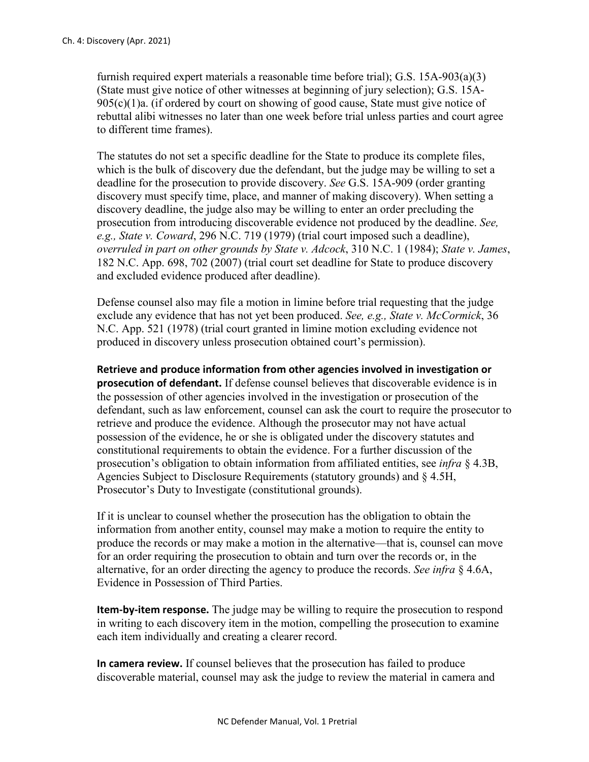furnish required expert materials a reasonable time before trial); G.S. 15A-903(a)(3) (State must give notice of other witnesses at beginning of jury selection); G.S. 15A- $905(c)(1)$ a. (if ordered by court on showing of good cause, State must give notice of rebuttal alibi witnesses no later than one week before trial unless parties and court agree to different time frames).

The statutes do not set a specific deadline for the State to produce its complete files, which is the bulk of discovery due the defendant, but the judge may be willing to set a deadline for the prosecution to provide discovery. *See* G.S. 15A-909 (order granting discovery must specify time, place, and manner of making discovery). When setting a discovery deadline, the judge also may be willing to enter an order precluding the prosecution from introducing discoverable evidence not produced by the deadline. *See, e.g., State v. Coward*, 296 N.C. 719 (1979) (trial court imposed such a deadline), *overruled in part on other grounds by State v. Adcock*, 310 N.C. 1 (1984); *State v. James*, 182 N.C. App. 698, 702 (2007) (trial court set deadline for State to produce discovery and excluded evidence produced after deadline).

Defense counsel also may file a motion in limine before trial requesting that the judge exclude any evidence that has not yet been produced. *See, e.g., State v. McCormick*, 36 N.C. App. 521 (1978) (trial court granted in limine motion excluding evidence not produced in discovery unless prosecution obtained court's permission).

**Retrieve and produce information from other agencies involved in investigation or prosecution of defendant.** If defense counsel believes that discoverable evidence is in the possession of other agencies involved in the investigation or prosecution of the defendant, such as law enforcement, counsel can ask the court to require the prosecutor to retrieve and produce the evidence. Although the prosecutor may not have actual possession of the evidence, he or she is obligated under the discovery statutes and constitutional requirements to obtain the evidence. For a further discussion of the prosecution's obligation to obtain information from affiliated entities, see *infra* § 4.3B, Agencies Subject to Disclosure Requirements (statutory grounds) and § 4.5H, Prosecutor's Duty to Investigate (constitutional grounds).

If it is unclear to counsel whether the prosecution has the obligation to obtain the information from another entity, counsel may make a motion to require the entity to produce the records or may make a motion in the alternative—that is, counsel can move for an order requiring the prosecution to obtain and turn over the records or, in the alternative, for an order directing the agency to produce the records. *See infra* § 4.6A, Evidence in Possession of Third Parties.

**Item-by-item response.** The judge may be willing to require the prosecution to respond in writing to each discovery item in the motion, compelling the prosecution to examine each item individually and creating a clearer record.

**In camera review.** If counsel believes that the prosecution has failed to produce discoverable material, counsel may ask the judge to review the material in camera and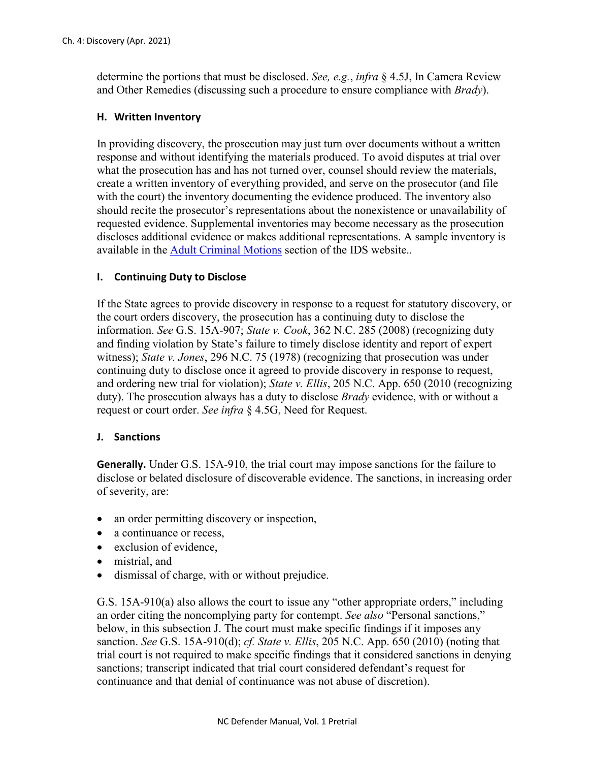determine the portions that must be disclosed. *See, e.g.*, *infra* § 4.5J, In Camera Review and Other Remedies (discussing such a procedure to ensure compliance with *Brady*).

### **H. Written Inventory**

In providing discovery, the prosecution may just turn over documents without a written response and without identifying the materials produced. To avoid disputes at trial over what the prosecution has and has not turned over, counsel should review the materials, create a written inventory of everything provided, and serve on the prosecutor (and file with the court) the inventory documenting the evidence produced. The inventory also should recite the prosecutor's representations about the nonexistence or unavailability of requested evidence. Supplemental inventories may become necessary as the prosecution discloses additional evidence or makes additional representations. A sample inventory is available in the [Adult Criminal Motions](https://www.ncids.org/adult-criminal-cases/adult-criminal-motions/) section of the IDS website..

## **I. Continuing Duty to Disclose**

If the State agrees to provide discovery in response to a request for statutory discovery, or the court orders discovery, the prosecution has a continuing duty to disclose the information. *See* G.S. 15A-907; *State v. Cook*, 362 N.C. 285 (2008) (recognizing duty and finding violation by State's failure to timely disclose identity and report of expert witness); *State v. Jones*, 296 N.C. 75 (1978) (recognizing that prosecution was under continuing duty to disclose once it agreed to provide discovery in response to request, and ordering new trial for violation); *State v. Ellis*, 205 N.C. App. 650 (2010 (recognizing duty). The prosecution always has a duty to disclose *Brady* evidence, with or without a request or court order. *See infra* § 4.5G, Need for Request.

#### **J. Sanctions**

**Generally.** Under G.S. 15A-910, the trial court may impose sanctions for the failure to disclose or belated disclosure of discoverable evidence. The sanctions, in increasing order of severity, are:

- an order permitting discovery or inspection,
- a continuance or recess,
- exclusion of evidence.
- mistrial, and
- dismissal of charge, with or without prejudice.

G.S. 15A-910(a) also allows the court to issue any "other appropriate orders," including an order citing the noncomplying party for contempt. *See also* "Personal sanctions," below, in this subsection J. The court must make specific findings if it imposes any sanction. *See* G.S. 15A-910(d); *cf. State v. Ellis*, 205 N.C. App. 650 (2010) (noting that trial court is not required to make specific findings that it considered sanctions in denying sanctions; transcript indicated that trial court considered defendant's request for continuance and that denial of continuance was not abuse of discretion).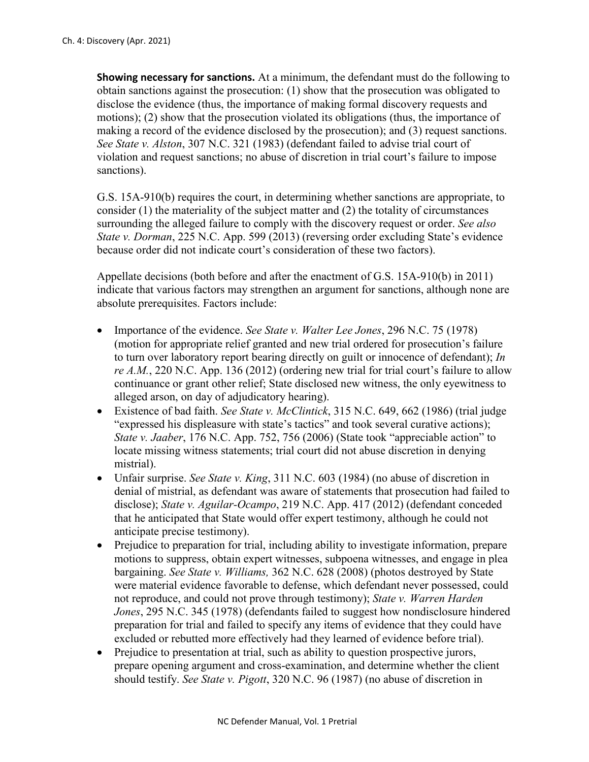**Showing necessary for sanctions.** At a minimum, the defendant must do the following to obtain sanctions against the prosecution: (1) show that the prosecution was obligated to disclose the evidence (thus, the importance of making formal discovery requests and motions); (2) show that the prosecution violated its obligations (thus, the importance of making a record of the evidence disclosed by the prosecution); and (3) request sanctions. *See State v. Alston*, 307 N.C. 321 (1983) (defendant failed to advise trial court of violation and request sanctions; no abuse of discretion in trial court's failure to impose sanctions).

G.S. 15A-910(b) requires the court, in determining whether sanctions are appropriate, to consider (1) the materiality of the subject matter and (2) the totality of circumstances surrounding the alleged failure to comply with the discovery request or order. *See also State v. Dorman*, 225 N.C. App. 599 (2013) (reversing order excluding State's evidence because order did not indicate court's consideration of these two factors).

Appellate decisions (both before and after the enactment of G.S. 15A-910(b) in 2011) indicate that various factors may strengthen an argument for sanctions, although none are absolute prerequisites. Factors include:

- Importance of the evidence. *See State v. Walter Lee Jones*, 296 N.C. 75 (1978) (motion for appropriate relief granted and new trial ordered for prosecution's failure to turn over laboratory report bearing directly on guilt or innocence of defendant); *In re A.M.*, 220 N.C. App. 136 (2012) (ordering new trial for trial court's failure to allow continuance or grant other relief; State disclosed new witness, the only eyewitness to alleged arson, on day of adjudicatory hearing).
- Existence of bad faith. *See State v. McClintick*, 315 N.C. 649, 662 (1986) (trial judge "expressed his displeasure with state's tactics" and took several curative actions); *State v. Jaaber*, 176 N.C. App. 752, 756 (2006) (State took "appreciable action" to locate missing witness statements; trial court did not abuse discretion in denying mistrial).
- Unfair surprise. *See State v. King*, 311 N.C. 603 (1984) (no abuse of discretion in denial of mistrial, as defendant was aware of statements that prosecution had failed to disclose); *State v. Aguilar-Ocampo*, 219 N.C. App. 417 (2012) (defendant conceded that he anticipated that State would offer expert testimony, although he could not anticipate precise testimony).
- Prejudice to preparation for trial, including ability to investigate information, prepare motions to suppress, obtain expert witnesses, subpoena witnesses, and engage in plea bargaining. *See State v. Williams,* 362 N.C. 628 (2008) (photos destroyed by State were material evidence favorable to defense, which defendant never possessed, could not reproduce, and could not prove through testimony); *State v. Warren Harden Jones*, 295 N.C. 345 (1978) (defendants failed to suggest how nondisclosure hindered preparation for trial and failed to specify any items of evidence that they could have excluded or rebutted more effectively had they learned of evidence before trial).
- Prejudice to presentation at trial, such as ability to question prospective jurors, prepare opening argument and cross-examination, and determine whether the client should testify. *See State v. Pigott*, 320 N.C. 96 (1987) (no abuse of discretion in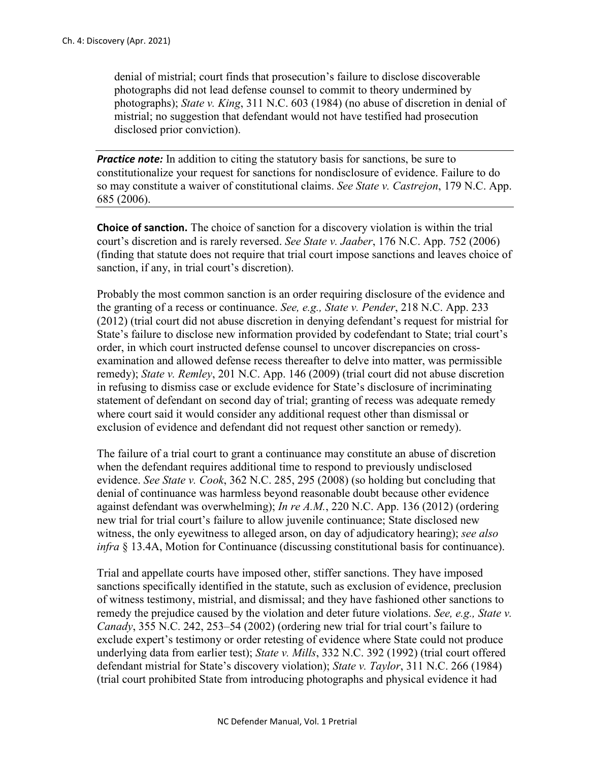denial of mistrial; court finds that prosecution's failure to disclose discoverable photographs did not lead defense counsel to commit to theory undermined by photographs); *State v. King*, 311 N.C. 603 (1984) (no abuse of discretion in denial of mistrial; no suggestion that defendant would not have testified had prosecution disclosed prior conviction).

*Practice note:* In addition to citing the statutory basis for sanctions, be sure to constitutionalize your request for sanctions for nondisclosure of evidence. Failure to do so may constitute a waiver of constitutional claims. *See State v. Castrejon*, 179 N.C. App. 685 (2006).

**Choice of sanction.** The choice of sanction for a discovery violation is within the trial court's discretion and is rarely reversed. *See State v. Jaaber*, 176 N.C. App. 752 (2006) (finding that statute does not require that trial court impose sanctions and leaves choice of sanction, if any, in trial court's discretion).

Probably the most common sanction is an order requiring disclosure of the evidence and the granting of a recess or continuance. *See, e.g., State v. Pender*, 218 N.C. App. 233 (2012) (trial court did not abuse discretion in denying defendant's request for mistrial for State's failure to disclose new information provided by codefendant to State; trial court's order, in which court instructed defense counsel to uncover discrepancies on crossexamination and allowed defense recess thereafter to delve into matter, was permissible remedy); *State v. Remley*, 201 N.C. App. 146 (2009) (trial court did not abuse discretion in refusing to dismiss case or exclude evidence for State's disclosure of incriminating statement of defendant on second day of trial; granting of recess was adequate remedy where court said it would consider any additional request other than dismissal or exclusion of evidence and defendant did not request other sanction or remedy).

The failure of a trial court to grant a continuance may constitute an abuse of discretion when the defendant requires additional time to respond to previously undisclosed evidence. *See State v. Cook*, 362 N.C. 285, 295 (2008) (so holding but concluding that denial of continuance was harmless beyond reasonable doubt because other evidence against defendant was overwhelming); *In re A.M.*, 220 N.C. App. 136 (2012) (ordering new trial for trial court's failure to allow juvenile continuance; State disclosed new witness, the only eyewitness to alleged arson, on day of adjudicatory hearing); *see also infra* § 13.4A, Motion for Continuance (discussing constitutional basis for continuance).

Trial and appellate courts have imposed other, stiffer sanctions. They have imposed sanctions specifically identified in the statute, such as exclusion of evidence, preclusion of witness testimony, mistrial, and dismissal; and they have fashioned other sanctions to remedy the prejudice caused by the violation and deter future violations. *See, e.g., State v. Canady*, 355 N.C. 242, 253–54 (2002) (ordering new trial for trial court's failure to exclude expert's testimony or order retesting of evidence where State could not produce underlying data from earlier test); *State v. Mills*, 332 N.C. 392 (1992) (trial court offered defendant mistrial for State's discovery violation); *State v. Taylor*, 311 N.C. 266 (1984) (trial court prohibited State from introducing photographs and physical evidence it had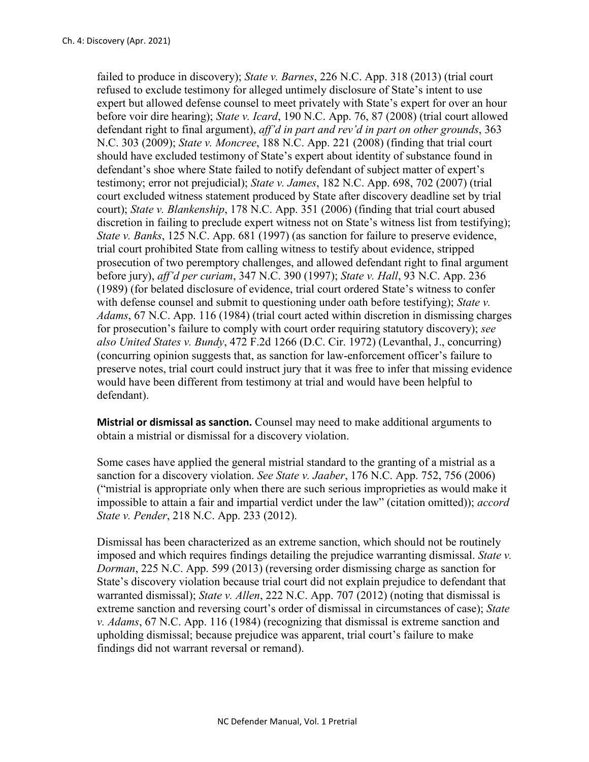failed to produce in discovery); *State v. Barnes*, 226 N.C. App. 318 (2013) (trial court refused to exclude testimony for alleged untimely disclosure of State's intent to use expert but allowed defense counsel to meet privately with State's expert for over an hour before voir dire hearing); *State v. Icard*, 190 N.C. App. 76, 87 (2008) (trial court allowed defendant right to final argument), *aff'd in part and rev'd in part on other grounds*, 363 N.C. 303 (2009); *State v. Moncree*, 188 N.C. App. 221 (2008) (finding that trial court should have excluded testimony of State's expert about identity of substance found in defendant's shoe where State failed to notify defendant of subject matter of expert's testimony; error not prejudicial); *State v. James*, 182 N.C. App. 698, 702 (2007) (trial court excluded witness statement produced by State after discovery deadline set by trial court); *State v. Blankenship*, 178 N.C. App. 351 (2006) (finding that trial court abused discretion in failing to preclude expert witness not on State's witness list from testifying); *State v. Banks*, 125 N.C. App. 681 (1997) (as sanction for failure to preserve evidence, trial court prohibited State from calling witness to testify about evidence, stripped prosecution of two peremptory challenges, and allowed defendant right to final argument before jury), *aff'd per curiam*, 347 N.C. 390 (1997); *State v. Hall*, 93 N.C. App. 236 (1989) (for belated disclosure of evidence, trial court ordered State's witness to confer with defense counsel and submit to questioning under oath before testifying); *State v. Adams*, 67 N.C. App. 116 (1984) (trial court acted within discretion in dismissing charges for prosecution's failure to comply with court order requiring statutory discovery); *see also United States v. Bundy*, 472 F.2d 1266 (D.C. Cir. 1972) (Levanthal, J., concurring) (concurring opinion suggests that, as sanction for law-enforcement officer's failure to preserve notes, trial court could instruct jury that it was free to infer that missing evidence would have been different from testimony at trial and would have been helpful to defendant).

**Mistrial or dismissal as sanction.** Counsel may need to make additional arguments to obtain a mistrial or dismissal for a discovery violation.

Some cases have applied the general mistrial standard to the granting of a mistrial as a sanction for a discovery violation. *See State v. Jaaber*, 176 N.C. App. 752, 756 (2006) ("mistrial is appropriate only when there are such serious improprieties as would make it impossible to attain a fair and impartial verdict under the law" (citation omitted)); *accord State v. Pender*, 218 N.C. App. 233 (2012).

Dismissal has been characterized as an extreme sanction, which should not be routinely imposed and which requires findings detailing the prejudice warranting dismissal. *State v. Dorman*, 225 N.C. App. 599 (2013) (reversing order dismissing charge as sanction for State's discovery violation because trial court did not explain prejudice to defendant that warranted dismissal); *State v. Allen*, 222 N.C. App. 707 (2012) (noting that dismissal is extreme sanction and reversing court's order of dismissal in circumstances of case); *State v. Adams*, 67 N.C. App. 116 (1984) (recognizing that dismissal is extreme sanction and upholding dismissal; because prejudice was apparent, trial court's failure to make findings did not warrant reversal or remand).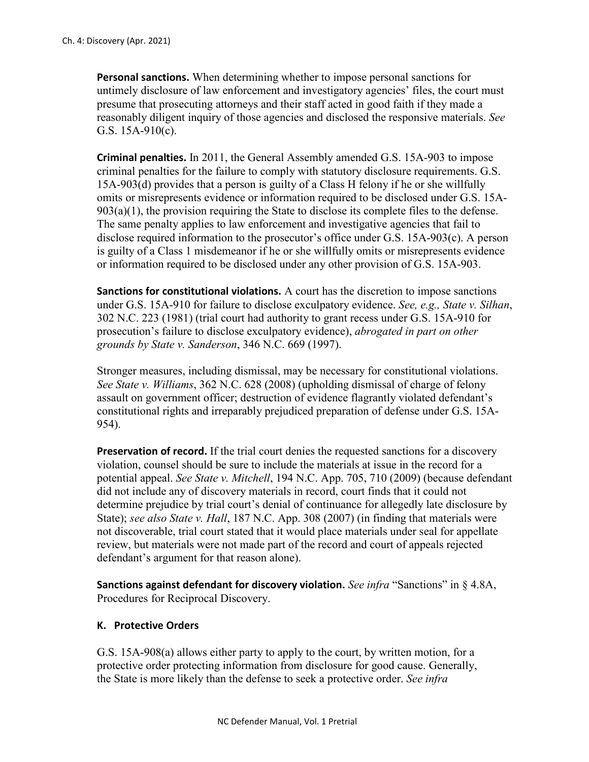**Personal sanctions.** When determining whether to impose personal sanctions for untimely disclosure of law enforcement and investigatory agencies' files, the court must presume that prosecuting attorneys and their staff acted in good faith if they made a reasonably diligent inquiry of those agencies and disclosed the responsive materials. *See* G.S. 15A-910(c).

**Criminal penalties.** In 2011, the General Assembly amended G.S. 15A-903 to impose criminal penalties for the failure to comply with statutory disclosure requirements. G.S. 15A-903(d) provides that a person is guilty of a Class H felony if he or she willfully omits or misrepresents evidence or information required to be disclosed under G.S. 15A- $903(a)(1)$ , the provision requiring the State to disclose its complete files to the defense. The same penalty applies to law enforcement and investigative agencies that fail to disclose required information to the prosecutor's office under G.S. 15A-903(c). A person is guilty of a Class 1 misdemeanor if he or she willfully omits or misrepresents evidence or information required to be disclosed under any other provision of G.S. 15A-903.

**Sanctions for constitutional violations.** A court has the discretion to impose sanctions under G.S. 15A-910 for failure to disclose exculpatory evidence. *See, e.g., State v. Silhan*, 302 N.C. 223 (1981) (trial court had authority to grant recess under G.S. 15A-910 for prosecution's failure to disclose exculpatory evidence), *abrogated in part on other grounds by State v. Sanderson*, 346 N.C. 669 (1997).

Stronger measures, including dismissal, may be necessary for constitutional violations. *See State v. Williams*, 362 N.C. 628 (2008) (upholding dismissal of charge of felony assault on government officer; destruction of evidence flagrantly violated defendant's constitutional rights and irreparably prejudiced preparation of defense under G.S. 15A-954).

**Preservation of record.** If the trial court denies the requested sanctions for a discovery violation, counsel should be sure to include the materials at issue in the record for a potential appeal. *See State v. Mitchell*, 194 N.C. App. 705, 710 (2009) (because defendant did not include any of discovery materials in record, court finds that it could not determine prejudice by trial court's denial of continuance for allegedly late disclosure by State); *see also State v. Hall*, 187 N.C. App. 308 (2007) (in finding that materials were not discoverable, trial court stated that it would place materials under seal for appellate review, but materials were not made part of the record and court of appeals rejected defendant's argument for that reason alone).

**Sanctions against defendant for discovery violation.** *See infra* "Sanctions" in § 4.8A, Procedures for Reciprocal Discovery.

#### **K. Protective Orders**

G.S. 15A-908(a) allows either party to apply to the court, by written motion, for a protective order protecting information from disclosure for good cause. Generally, the State is more likely than the defense to seek a protective order. *See infra*